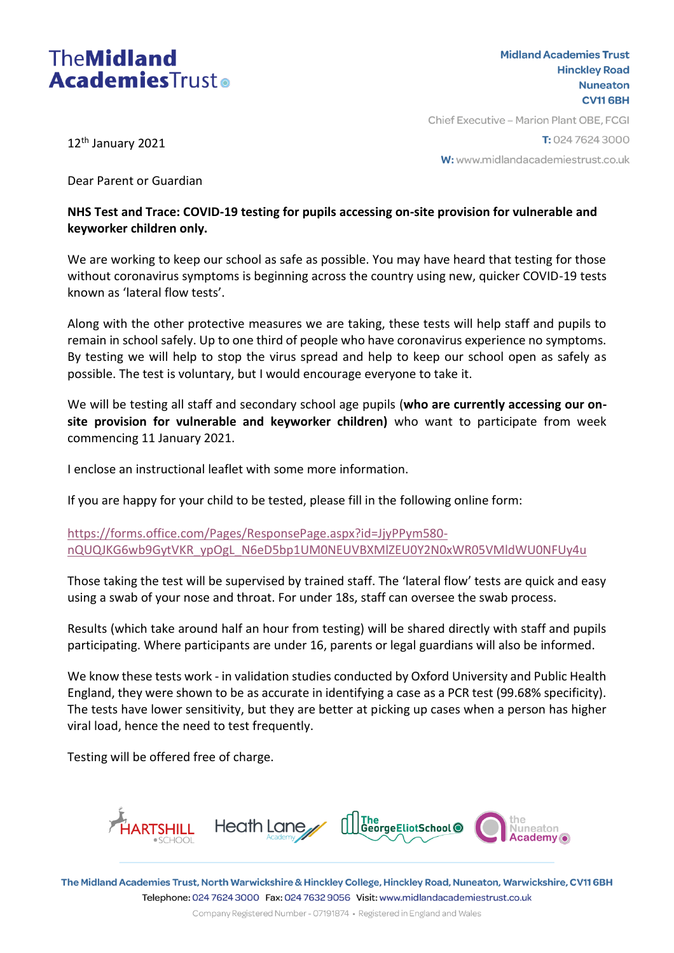# **TheMidland AcademiesTrusto**

**Midland Academies Trust Hinckley Road Nuneaton CV116BH** 

12<sup>th</sup> January 2021

Chief Executive - Marion Plant OBE, FCGI T: 024 7624 3000

W: www.midlandacademiestrust.co.uk

Dear Parent or Guardian

## **NHS Test and Trace: COVID-19 testing for pupils accessing on-site provision for vulnerable and keyworker children only.**

We are working to keep our school as safe as possible. You may have heard that testing for those without coronavirus symptoms is beginning across the country using new, quicker COVID-19 tests known as 'lateral flow tests'.

Along with the other protective measures we are taking, these tests will help staff and pupils to remain in school safely. Up to one third of people who have coronavirus experience no symptoms. By testing we will help to stop the virus spread and help to keep our school open as safely as possible. The test is voluntary, but I would encourage everyone to take it.

We will be testing all staff and secondary school age pupils (**who are currently accessing our onsite provision for vulnerable and keyworker children)** who want to participate from week commencing 11 January 2021.

I enclose an instructional leaflet with some more information.

If you are happy for your child to be tested, please fill in the following online form:

[https://forms.office.com/Pages/ResponsePage.aspx?id=JjyPPym580](https://forms.office.com/Pages/ResponsePage.aspx?id=JjyPPym580-nQUQJKG6wb9GytVKR_ypOgL_N6eD5bp1UM0NEUVBXMlZEU0Y2N0xWR05VMldWU0NFUy4u) [nQUQJKG6wb9GytVKR\\_ypOgL\\_N6eD5bp1UM0NEUVBXMlZEU0Y2N0xWR05VMldWU0NFUy4u](https://forms.office.com/Pages/ResponsePage.aspx?id=JjyPPym580-nQUQJKG6wb9GytVKR_ypOgL_N6eD5bp1UM0NEUVBXMlZEU0Y2N0xWR05VMldWU0NFUy4u)

Those taking the test will be supervised by trained staff. The 'lateral flow' tests are quick and easy using a swab of your nose and throat. For under 18s, staff can oversee the swab process.

Results (which take around half an hour from testing) will be shared directly with staff and pupils participating. Where participants are under 16, parents or legal guardians will also be informed.

We know these tests work - in validation studies conducted by Oxford University and Public Health England, they were shown to be as accurate in identifying a case as a PCR test (99.68% specificity). The tests have lower sensitivity, but they are better at picking up cases when a person has higher viral load, hence the need to test frequently.

Testing will be offered free of charge.



The Midland Academies Trust, North Warwickshire & Hinckley College, Hinckley Road, Nuneaton, Warwickshire, CV116BH Telephone: 024 7624 3000 Fax: 024 7632 9056 Visit: www.midlandacademiestrust.co.uk

Company Registered Number - 07191874 · Registered in England and Wales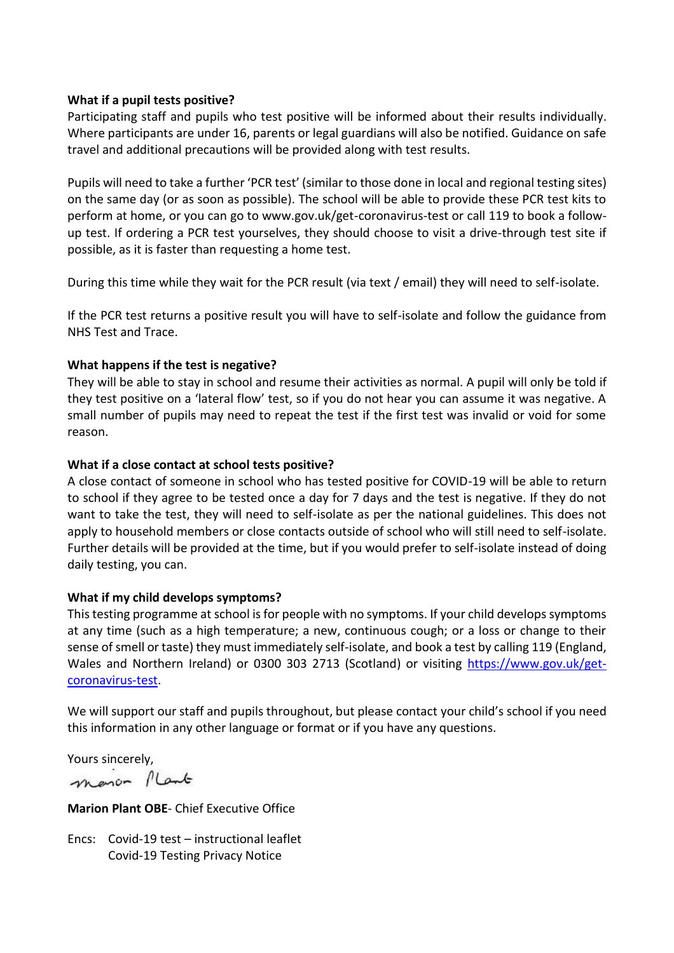## **What if a pupil tests positive?**

Participating staff and pupils who test positive will be informed about their results individually. Where participants are under 16, parents or legal guardians will also be notified. Guidance on safe travel and additional precautions will be provided along with test results.

Pupils will need to take a further 'PCR test' (similar to those done in local and regional testing sites) on the same day (or as soon as possible). The school will be able to provide these PCR test kits to perform at home, or you can go to www.gov.uk/get-coronavirus-test or call 119 to book a followup test. If ordering a PCR test yourselves, they should choose to visit a drive-through test site if possible, as it is faster than requesting a home test.

During this time while they wait for the PCR result (via text / email) they will need to self-isolate.

If the PCR test returns a positive result you will have to self-isolate and follow the guidance from NHS Test and Trace.

## **What happens if the test is negative?**

They will be able to stay in school and resume their activities as normal. A pupil will only be told if they test positive on a 'lateral flow' test, so if you do not hear you can assume it was negative. A small number of pupils may need to repeat the test if the first test was invalid or void for some reason.

## **What if a close contact at school tests positive?**

A close contact of someone in school who has tested positive for COVID-19 will be able to return to school if they agree to be tested once a day for 7 days and the test is negative. If they do not want to take the test, they will need to self-isolate as per the national guidelines. This does not apply to household members or close contacts outside of school who will still need to self-isolate. Further details will be provided at the time, but if you would prefer to self-isolate instead of doing daily testing, you can.

#### **What if my child develops symptoms?**

This testing programme at school is for people with no symptoms. If your child develops symptoms at any time (such as a high temperature; a new, continuous cough; or a loss or change to their sense of smell or taste) they must immediately self-isolate, and book a test by calling 119 (England, Wales and Northern Ireland) or 0300 303 2713 (Scotland) or visiting [https://www.gov.uk/get](https://www.gov.uk/get-coronavirus-test)[coronavirus-test.](https://www.gov.uk/get-coronavirus-test)

We will support our staff and pupils throughout, but please contact your child's school if you need this information in any other language or format or if you have any questions.

Yours sincerely,

manon Plant

**Marion Plant OBE**- Chief Executive Office

Encs: Covid-19 test – instructional leaflet Covid-19 Testing Privacy Notice